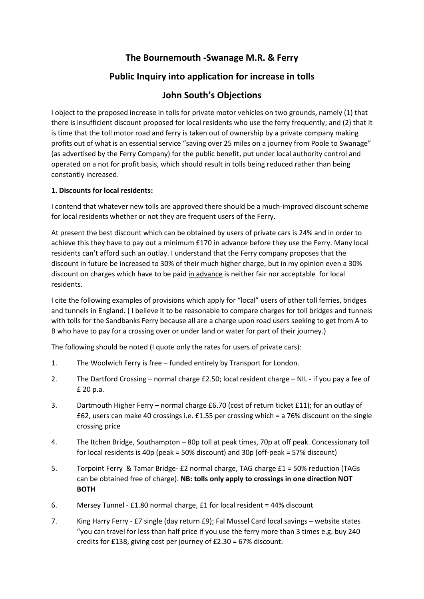# **The Bournemouth -Swanage M.R. & Ferry**

# **Public Inquiry into application for increase in tolls**

## **John South's Objections**

I object to the proposed increase in tolls for private motor vehicles on two grounds, namely (1) that there is insufficient discount proposed for local residents who use the ferry frequently; and (2) that it is time that the toll motor road and ferry is taken out of ownership by a private company making profits out of what is an essential service "saving over 25 miles on a journey from Poole to Swanage" (as advertised by the Ferry Company) for the public benefit, put under local authority control and operated on a not for profit basis, which should result in tolls being reduced rather than being constantly increased.

### **1. Discounts for local residents:**

I contend that whatever new tolls are approved there should be a much-improved discount scheme for local residents whether or not they are frequent users of the Ferry.

At present the best discount which can be obtained by users of private cars is 24% and in order to achieve this they have to pay out a minimum £170 in advance before they use the Ferry. Many local residents can't afford such an outlay. I understand that the Ferry company proposes that the discount in future be increased to 30% of their much higher charge, but in my opinion even a 30% discount on charges which have to be paid in advance is neither fair nor acceptable for local residents.

I cite the following examples of provisions which apply for "local" users of other toll ferries, bridges and tunnels in England. ( I believe it to be reasonable to compare charges for toll bridges and tunnels with tolls for the Sandbanks Ferry because all are a charge upon road users seeking to get from A to B who have to pay for a crossing over or under land or water for part of their journey.)

The following should be noted (I quote only the rates for users of private cars):

- 1. The Woolwich Ferry is free funded entirely by Transport for London.
- 2. The Dartford Crossing normal charge £2.50; local resident charge NIL if you pay a fee of £ 20 p.a.
- 3. Dartmouth Higher Ferry normal charge £6.70 (cost of return ticket £11); for an outlay of £62, users can make 40 crossings i.e. £1.55 per crossing which = a 76% discount on the single crossing price
- 4. The Itchen Bridge, Southampton 80p toll at peak times, 70p at off peak. Concessionary toll for local residents is 40p (peak = 50% discount) and 30p (off-peak = 57% discount)
- 5. Torpoint Ferry & Tamar Bridge- £2 normal charge, TAG charge £1 = 50% reduction (TAGs can be obtained free of charge). **NB: tolls only apply to crossings in one direction NOT BOTH**
- 6. Mersey Tunnel £1.80 normal charge, £1 for local resident = 44% discount
- 7. King Harry Ferry £7 single (day return £9); Fal Mussel Card local savings website states "you can travel for less than half price if you use the ferry more than 3 times e.g. buy 240 credits for £138, giving cost per journey of £2.30 = 67% discount.